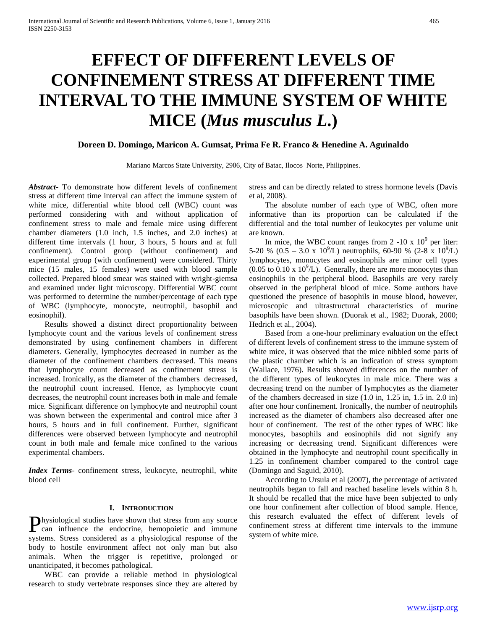# **EFFECT OF DIFFERENT LEVELS OF CONFINEMENT STRESS AT DIFFERENT TIME INTERVAL TO THE IMMUNE SYSTEM OF WHITE MICE (***Mus musculus L***.)**

# **Doreen D. Domingo, Maricon A. Gumsat, Prima Fe R. Franco & Henedine A. Aguinaldo**

Mariano Marcos State University, 2906, City of Batac, Ilocos Norte, Philippines.

*Abstract***-** To demonstrate how different levels of confinement stress at different time interval can affect the immune system of white mice, differential white blood cell (WBC) count was performed considering with and without application of confinement stress to male and female mice using different chamber diameters (1.0 inch, 1.5 inches, and 2.0 inches) at different time intervals (1 hour, 3 hours, 5 hours and at full confinement). Control group (without confinement) and experimental group (with confinement) were considered. Thirty mice (15 males, 15 females) were used with blood sample collected. Prepared blood smear was stained with wright-giemsa and examined under light microscopy. Differential WBC count was performed to determine the number/percentage of each type of WBC (lymphocyte, monocyte, neutrophil, basophil and eosinophil).

 Results showed a distinct direct proportionality between lymphocyte count and the various levels of confinement stress demonstrated by using confinement chambers in different diameters. Generally, lymphocytes decreased in number as the diameter of the confinement chambers decreased. This means that lymphocyte count decreased as confinement stress is increased. Ironically, as the diameter of the chambers decreased, the neutrophil count increased. Hence, as lymphocyte count decreases, the neutrophil count increases both in male and female mice. Significant difference on lymphocyte and neutrophil count was shown between the experimental and control mice after 3 hours, 5 hours and in full confinement. Further, significant differences were observed between lymphocyte and neutrophil count in both male and female mice confined to the various experimental chambers.

*Index Terms*- confinement stress, leukocyte, neutrophil, white blood cell

#### **I. INTRODUCTION**

hysiological studies have shown that stress from any source systems. Stress considered as a physiological response of the body to hostile environment affect not only man but also animals. When the trigger is repetitive, prolonged or unanticipated, it becomes pathological.

 WBC can provide a reliable method in physiological research to study vertebrate responses since they are altered by

stress and can be directly related to stress hormone levels (Davis et al, 2008).

 The absolute number of each type of WBC, often more informative than its proportion can be calculated if the differential and the total number of leukocytes per volume unit are known.

In mice, the WBC count ranges from 2 -10 x  $10^9$  per liter: 5-20 %  $(0.5 - 3.0 \times 10^9)$  neutrophils, 60-90 %  $(2-8 \times 10^9)$  L) lymphocytes, monocytes and eosinophils are minor cell types  $(0.05 \text{ to } 0.10 \text{ x } 10^9/\text{L})$ . Generally, there are more monocytes than eosinophils in the peripheral blood. Basophils are very rarely observed in the peripheral blood of mice. Some authors have questioned the presence of basophils in mouse blood, however, microscopic and ultrastructural characteristics of murine basophils have been shown. (Duorak et al., 1982; Duorak, 2000; Hedrich et al., 2004).

 Based from a one-hour preliminary evaluation on the effect of different levels of confinement stress to the immune system of white mice, it was observed that the mice nibbled some parts of the plastic chamber which is an indication of stress symptom (Wallace, 1976). Results showed differences on the number of the different types of leukocytes in male mice. There was a decreasing trend on the number of lymphocytes as the diameter of the chambers decreased in size (1.0 in, 1.25 in, 1.5 in. 2.0 in) after one hour confinement. Ironically, the number of neutrophils increased as the diameter of chambers also decreased after one hour of confinement. The rest of the other types of WBC like monocytes, basophils and eosinophils did not signify any increasing or decreasing trend. Significant differences were obtained in the lymphocyte and neutrophil count specifically in 1.25 in confinement chamber compared to the control cage (Domingo and Saguid, 2010).

**P**hysiological studies have shown that stress from any source the endocrine, hemopoietic and immune confinement stress at different time intervals to the immune system of white mice. According to Ursula et al (2007), the percentage of activated neutrophils began to fall and reached baseline levels within 8 h. It should be recalled that the mice have been subjected to only one hour confinement after collection of blood sample. Hence, this research evaluated the effect of different levels of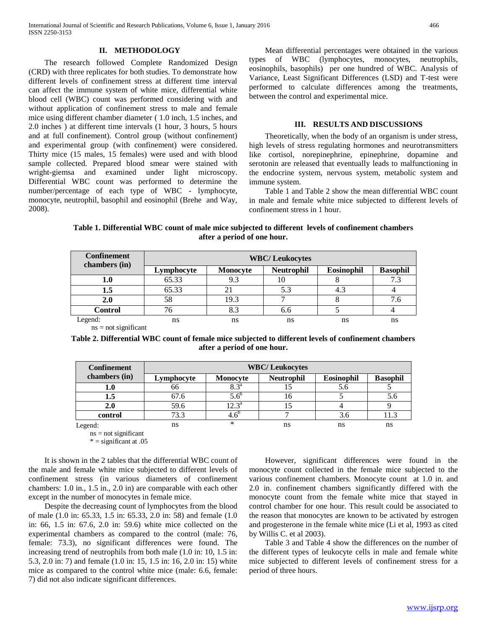### **II. METHODOLOGY**

 The research followed Complete Randomized Design (CRD) with three replicates for both studies. To demonstrate how different levels of confinement stress at different time interval can affect the immune system of white mice, differential white blood cell (WBC) count was performed considering with and without application of confinement stress to male and female mice using different chamber diameter ( 1.0 inch, 1.5 inches, and 2.0 inches ) at different time intervals (1 hour, 3 hours, 5 hours and at full confinement). Control group (without confinement) and experimental group (with confinement) were considered. Thirty mice (15 males, 15 females) were used and with blood sample collected. Prepared blood smear were stained with wright-giemsa and examined under light microscopy. Differential WBC count was performed to determine the number/percentage of each type of WBC - lymphocyte, monocyte, neutrophil, basophil and eosinophil (Brehe and Way, 2008).

 Mean differential percentages were obtained in the various types of WBC (lymphocytes, monocytes, neutrophils, eosinophils, basophils) per one hundred of WBC. Analysis of Variance, Least Significant Differences (LSD) and T-test were performed to calculate differences among the treatments, between the control and experimental mice.

#### **III. RESULTS AND DISCUSSIONS**

 Theoretically, when the body of an organism is under stress, high levels of stress regulating hormones and neurotransmitters like cortisol, norepinephrine, epinephrine, dopamine and serotonin are released that eventually leads to malfunctioning in the endocrine system, nervous system, metabolic system and immune system.

 Table 1 and Table 2 show the mean differential WBC count in male and female white mice subjected to different levels of confinement stress in 1 hour.

**Table 1. Differential WBC count of male mice subjected to different levels of confinement chambers after a period of one hour.**

| <b>Confinement</b><br>chambers (in) | <b>WBC/Leukocytes</b> |          |                   |                   |                 |  |  |  |  |  |  |  |  |
|-------------------------------------|-----------------------|----------|-------------------|-------------------|-----------------|--|--|--|--|--|--|--|--|
|                                     | Lymphocyte            | Monocyte | <b>Neutrophil</b> | <b>Eosinophil</b> | <b>Basophil</b> |  |  |  |  |  |  |  |  |
| 1.0                                 | 65.33                 | 9.3      | Ю                 |                   | 7.3             |  |  |  |  |  |  |  |  |
| $1.5\,$                             | 65.33                 | 21       | 5.3               | 4.3               |                 |  |  |  |  |  |  |  |  |
| 2.0                                 | 58                    | 19.3     |                   |                   | 7.6             |  |  |  |  |  |  |  |  |
| <b>Control</b>                      | 76                    | 8.3      | 6.6               |                   |                 |  |  |  |  |  |  |  |  |
| Legend:                             | ns                    | ns       | ns                | ns                | ns              |  |  |  |  |  |  |  |  |
| $ns = not significant$              |                       |          |                   |                   |                 |  |  |  |  |  |  |  |  |

**Table 2. Differential WBC count of female mice subjected to different levels of confinement chambers after a period of one hour.**

| <b>Confinement</b>     |            |                  | <b>WBC/Leukocytes</b> |            |                 |
|------------------------|------------|------------------|-----------------------|------------|-----------------|
| chambers (in)          | Lymphocyte | Monocyte         | <b>Neutrophil</b>     | Eosinophil | <b>Basophil</b> |
| $1.0\,$                | 66         | $8.3^{\circ}$    |                       | 5.6        |                 |
| 1.5                    | 67.6       | $5.6^{\circ}$    | 16                    |            | 5.6             |
| 2.0                    | 59.6       | $12.3^{\circ}$   |                       |            |                 |
| control                | 73.3       | 4.6 <sup>b</sup> |                       | 3.6        | 11.3            |
| Legend:                | ns         | *                | ns                    | ns         | ns              |
| $ns = not$ significant |            |                  |                       |            |                 |

ns = not significant  $* =$  significant at .05

 It is shown in the 2 tables that the differential WBC count of the male and female white mice subjected to different levels of confinement stress (in various diameters of confinement chambers: 1.0 in., 1.5 in., 2.0 in) are comparable with each other except in the number of monocytes in female mice.

 Despite the decreasing count of lymphocytes from the blood of male (1.0 in: 65.33, 1.5 in: 65.33, 2.0 in: 58) and female (1.0 in: 66, 1.5 in: 67.6, 2.0 in: 59.6) white mice collected on the experimental chambers as compared to the control (male: 76, female: 73.3), no significant differences were found. The increasing trend of neutrophils from both male (1.0 in: 10, 1.5 in: 5.3, 2.0 in: 7) and female (1.0 in: 15, 1.5 in: 16, 2.0 in: 15) white mice as compared to the control white mice (male: 6.6, female: 7) did not also indicate significant differences.

 However, significant differences were found in the monocyte count collected in the female mice subjected to the various confinement chambers. Monocyte count at 1.0 in. and 2.0 in. confinement chambers significantly differed with the monocyte count from the female white mice that stayed in control chamber for one hour. This result could be associated to the reason that monocytes are known to be activated by estrogen and progesterone in the female white mice (Li et al, 1993 as cited by Willis C. et al 2003).

 Table 3 and Table 4 show the differences on the number of the different types of leukocyte cells in male and female white mice subjected to different levels of confinement stress for a period of three hours.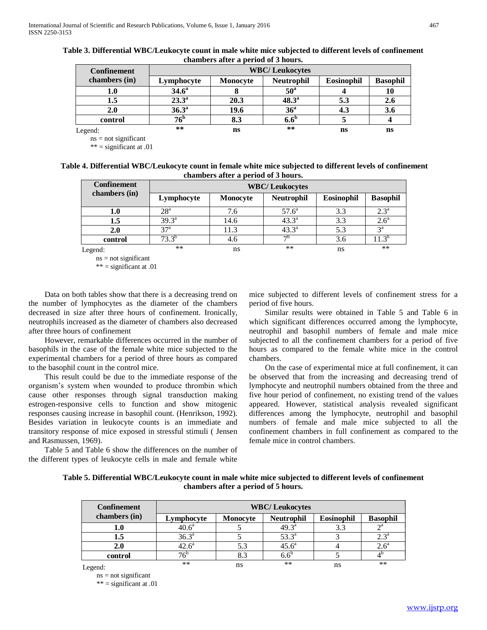|                    |                       | chambers arect a perfou of 9 hours. |                   |            |                 |  |  |  |  |  |  |  |  |
|--------------------|-----------------------|-------------------------------------|-------------------|------------|-----------------|--|--|--|--|--|--|--|--|
| <b>Confinement</b> | <b>WBC/Leukocytes</b> |                                     |                   |            |                 |  |  |  |  |  |  |  |  |
| chambers (in)      | Lymphocyte            | Monocyte                            | <b>Neutrophil</b> | Eosinophil | <b>Basophil</b> |  |  |  |  |  |  |  |  |
| 1.0                | $34.6^{\circ}$        |                                     | $50^{\circ}$      |            | 10              |  |  |  |  |  |  |  |  |
| 1.5                | $23.3^{\circ}$        | 20.3                                | $48.3^{\circ}$    | 5.3        | 2.6             |  |  |  |  |  |  |  |  |
| 2.0                | 36.3 <sup>a</sup>     | 19.6                                | 36 <sup>a</sup>   | 4.3        | 3.6             |  |  |  |  |  |  |  |  |
| control            | 76 <sup>b</sup>       | 8.3                                 | $6.6^{\circ}$     |            |                 |  |  |  |  |  |  |  |  |
| Legend:            | $***$                 | ns                                  | $***$             | ns         | ns              |  |  |  |  |  |  |  |  |

| Table 3. Differential WBC/Leukocyte count in male white mice subjected to different levels of confinement |
|-----------------------------------------------------------------------------------------------------------|
| chambers after a period of 3 hours.                                                                       |

Legend:

 $ns = not significant$ 

\*\* = significant at .01

| Table 4. Differential WBC/Leukocyte count in female white mice subjected to different levels of confinement |
|-------------------------------------------------------------------------------------------------------------|
| chambers after a period of 3 hours.                                                                         |

| <b>Confinement</b>     |                 |          | <b>WBC/Leukocytes</b> |                   |                  |
|------------------------|-----------------|----------|-----------------------|-------------------|------------------|
| chambers (in)          | Lymphocyte      | Monocyte | <b>Neutrophil</b>     | <b>Eosinophil</b> | <b>Basophil</b>  |
| $1.0\,$                | 28 <sup>a</sup> | 7.6      | $57.6^{\circ}$        | 3.3               | $2.3^{\rm a}$    |
| 1.5                    | $39.3^{\rm a}$  | 14.6     | $43.3^{\circ}$        | 3.3               | 2.6 <sup>a</sup> |
| 2.0                    | $37^{\rm a}$    | 11.3     | $43.3^{\circ}$        | 5.3               | $3^{\rm a}$      |
| control                | $73.3^{o}$      | 4.6      | $\neg$ <sub>D</sub>   | 3.6               | $1.3^{\circ}$    |
| Legend:                | $***$           | ns       | **                    | ns                | **               |
| $ns = not$ significant |                 |          |                       |                   |                  |

 $ns = not significant$ \*\* = significant at .01

 Data on both tables show that there is a decreasing trend on the number of lymphocytes as the diameter of the chambers decreased in size after three hours of confinement. Ironically, neutrophils increased as the diameter of chambers also decreased after three hours of confinement

 However, remarkable differences occurred in the number of basophils in the case of the female white mice subjected to the experimental chambers for a period of three hours as compared to the basophil count in the control mice.

 This result could be due to the immediate response of the organism's system when wounded to produce thrombin which cause other responses through signal transduction making estrogen-responsive cells to function and show mitogenic responses causing increase in basophil count. (Henrikson, 1992). Besides variation in leukocyte counts is an immediate and transitory response of mice exposed in stressful stimuli ( Jensen and Rasmussen, 1969).

 Table 5 and Table 6 show the differences on the number of the different types of leukocyte cells in male and female white

mice subjected to different levels of confinement stress for a period of five hours.

 Similar results were obtained in Table 5 and Table 6 in which significant differences occurred among the lymphocyte, neutrophil and basophil numbers of female and male mice subjected to all the confinement chambers for a period of five hours as compared to the female white mice in the control chambers.

 On the case of experimental mice at full confinement, it can be observed that from the increasing and decreasing trend of lymphocyte and neutrophil numbers obtained from the three and five hour period of confinement, no existing trend of the values appeared. However, statistical analysis revealed significant differences among the lymphocyte, neutrophil and basophil numbers of female and male mice subjected to all the confinement chambers in full confinement as compared to the female mice in control chambers.

**Table 5. Differential WBC/Leukocyte count in male white mice subjected to different levels of confinement chambers after a period of 5 hours.**

| <b>Confinement</b>                | <b>WBC/Leukocytes</b> |                 |                   |            |                       |  |  |  |  |  |  |  |  |
|-----------------------------------|-----------------------|-----------------|-------------------|------------|-----------------------|--|--|--|--|--|--|--|--|
| chambers (in)                     | Lymphocyte            | <b>Monocyte</b> | <b>Neutrophil</b> | Eosinophil | <b>Basophil</b>       |  |  |  |  |  |  |  |  |
| 1.0                               | 40.6 <sup>a</sup>     |                 | $49.3^{\circ}$    | 3.3        | $\gamma$ <sup>a</sup> |  |  |  |  |  |  |  |  |
| 1.5                               | $36.3^{a}$            |                 | $53.3^{a}$        |            | $2.3^{\mathrm{a}}$    |  |  |  |  |  |  |  |  |
| 2.0                               | $42.6^{\circ}$        | 5.3             | $45.6^{\circ}$    |            | $2.6^{\circ}$         |  |  |  |  |  |  |  |  |
| control                           | $76^{\circ}$          | 8.3             | $6.6^{\circ}$     |            |                       |  |  |  |  |  |  |  |  |
| Legend:<br>$ns = not significant$ | **                    | ns              | $***$             | ns         | **                    |  |  |  |  |  |  |  |  |

\*\* = significant at .01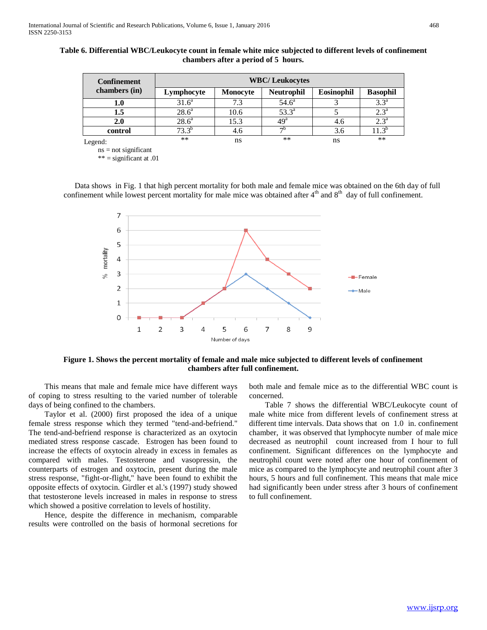| <b>Confinement</b>     | <b>WBC/Leukocytes</b> |                 |                   |                   |                    |  |  |  |  |  |  |  |  |
|------------------------|-----------------------|-----------------|-------------------|-------------------|--------------------|--|--|--|--|--|--|--|--|
| chambers (in)          | Lymphocyte            | <b>Monocyte</b> | <b>Neutrophil</b> | <b>Eosinophil</b> | <b>Basophil</b>    |  |  |  |  |  |  |  |  |
| ${\bf 1.0}$            | 31.6 <sup>a</sup>     | 7.3             | $54.6^{\circ}$    |                   | $3.3^{\circ}$      |  |  |  |  |  |  |  |  |
| 1.5                    | $28.6^{\circ}$        | 10.6            | $53.3^{\circ}$    |                   | $2.3^{\mathrm{a}}$ |  |  |  |  |  |  |  |  |
| 2.0                    | 28.6 <sup>a</sup>     | 15.3            | 49 <sup>a</sup>   | 4.6               | $2.3^{\circ}$      |  |  |  |  |  |  |  |  |
| control                | $73.3^{b}$            | 4.6             | $\neg$ b          | 3.6               | $11.3^{p}$         |  |  |  |  |  |  |  |  |
| Legend:                | $***$                 | ns              | **                | ns                | **                 |  |  |  |  |  |  |  |  |
| $ns - not$ significant |                       |                 |                   |                   |                    |  |  |  |  |  |  |  |  |

**Table 6. Differential WBC/Leukocyte count in female white mice subjected to different levels of confinement chambers after a period of 5 hours.**

ns = not significant

 $***$  = significant at .01

Data shows in Fig. 1 that high percent mortality for both male and female mice was obtained on the 6th day of full confinement while lowest percent mortality for male mice was obtained after  $4<sup>th</sup>$  and  $8<sup>th</sup>$  day of full confinement.



**Figure 1. Shows the percent mortality of female and male mice subjected to different levels of confinement chambers after full confinement.**

 This means that male and female mice have different ways of coping to stress resulting to the varied number of tolerable days of being confined to the chambers.

 Taylor et al. (2000) first proposed the idea of a unique female stress response which they termed "tend-and-befriend." The tend-and-befriend response is characterized as an oxytocin mediated stress response cascade. Estrogen has been found to increase the effects of oxytocin already in excess in females as compared with males. Testosterone and vasopressin, the counterparts of estrogen and oxytocin, present during the male stress response, "fight-or-flight," have been found to exhibit the opposite effects of oxytocin. Girdler et al.'s (1997) study showed that testosterone levels increased in males in response to stress which showed a positive correlation to levels of hostility.

 Hence, despite the difference in mechanism, comparable results were controlled on the basis of hormonal secretions for both male and female mice as to the differential WBC count is concerned.

 Table 7 shows the differential WBC/Leukocyte count of male white mice from different levels of confinement stress at different time intervals. Data shows that on 1.0 in. confinement chamber, it was observed that lymphocyte number of male mice decreased as neutrophil count increased from I hour to full confinement. Significant differences on the lymphocyte and neutrophil count were noted after one hour of confinement of mice as compared to the lymphocyte and neutrophil count after 3 hours, 5 hours and full confinement. This means that male mice had significantly been under stress after 3 hours of confinement to full confinement.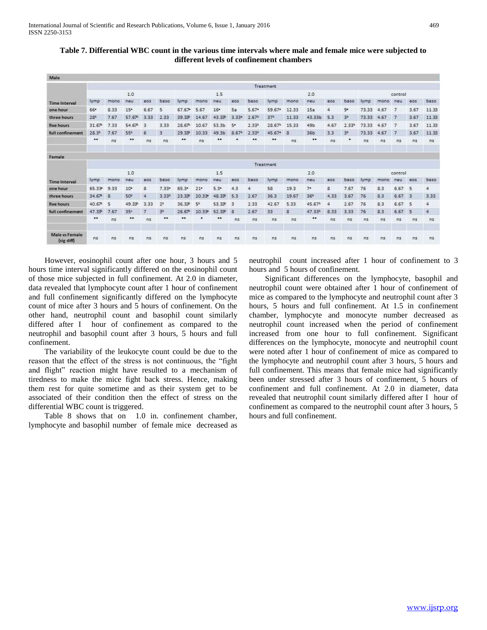| Table 7. Differential WBC count in the various time intervals where male and female mice were subjected to |
|------------------------------------------------------------------------------------------------------------|
| different levels of confinement chambers                                                                   |

| Male                         |                   |      |                 |                |                  |                  |                |                 |                   |                   |                    |                |             |                |                   |         |                |                |                |                |
|------------------------------|-------------------|------|-----------------|----------------|------------------|------------------|----------------|-----------------|-------------------|-------------------|--------------------|----------------|-------------|----------------|-------------------|---------|----------------|----------------|----------------|----------------|
|                              | Treatment         |      |                 |                |                  |                  |                |                 |                   |                   |                    |                |             |                |                   |         |                |                |                |                |
|                              |                   |      | 1.0             |                |                  |                  |                | 1.5             |                   |                   |                    |                | 2.0         |                |                   |         |                | control        |                |                |
| <b>Time Interval</b>         | lymp              | mono | neu             | eos            | baso             | lymp             | mono           | neu             | eos               | baso              | lymp               | mono           | neu         | eos            | baso              | lymp    | mono           | neu            | eos            | baso           |
| one hour                     | 66*               | 8.33 | $15*$           | 6.67           | 5                | 67.67            | 5.67           | 16 <sup>•</sup> | 5a                | $5.67*$           | 59.67*             | 12.33          | 15a         | 4              | 9.                | 73.33   | 4.67           | 7              | 3.67           | 11.33          |
| three hours                  | 28                | 7.67 | 57.67           | 3.33           | 2.33             | 39.33            | .67<br>14      | 43.33           | $3.33*$           | 2.67 <sup>b</sup> | 37 <sup>b</sup>    | 11.33          | 43.33b      | 5.3            | 3ª                | 73.33   | 4.67           | $\overline{7}$ | 3.67           | 11.33          |
| five hours                   | $31.67^{\circ}$   | 7.33 | 54.67           | 3              | 3.33             | $28.67^{\circ}$  | 10.67          | 53.3b           | 5.                | 2.33 <sup>b</sup> | 28.67 <sup>b</sup> | 15.33          | 49b         | 4.67           | 2.33 <sup>b</sup> | 73.33   | 4.67           | 7              | 3.67           | 11.33          |
| full confinement             | 28.3 <sup>b</sup> | 7.67 | 55              | 6              | 3                | 29.33            | 10.33          | 49.3b           | 8.67 <sup>b</sup> | 2.33 <sup>b</sup> | 45.67              | 8              | 36b         | 3.3            | 34                | 73.33   | 4.67           | 7              | 3.67           | 11.33          |
|                              | **                | ns   |                 | n <sub>s</sub> | ns               | ۰۰               | n <sub>5</sub> |                 |                   |                   |                    | n <sub>5</sub> | ۰           | n <sub>5</sub> | ٠                 | ns      | ns             | ns             | n <sub>s</sub> | ns.            |
| Female                       |                   |      |                 |                |                  |                  |                |                 |                   |                   |                    |                |             |                |                   |         |                |                |                |                |
|                              | Treatment         |      |                 |                |                  |                  |                |                 |                   |                   |                    |                |             |                |                   |         |                |                |                |                |
|                              |                   |      | 1.0             |                |                  |                  |                | 1.5             |                   |                   | 2.0                |                |             |                |                   | control |                |                |                |                |
| <b>Time Interval</b>         | lymp              | mono | neu             | eos            | baso             | lymp             | mono           | neu             | eos               | baso              | lymp               | mono           | neu         | eos            | baso              | lymp    | mono           | neu            | eos            | baso           |
| one hour                     | 65.33             | 9.33 | $10*$           | 8              | $7.33*$          | $65.3^{\circ}$   | $21 -$         | $5.3*$          | 4.3               | 4                 | 58                 | 19.3           | $7^{\circ}$ | 8              | 7.67              | 76      | 8.3            | 6.67           | 5              | 4              |
| three hours                  | 34.67             | 8    | 50 <sup>b</sup> | 4              | 3.33             | 23.33            | 20.33          | 48.33           | 5.3               | 2.67              | 36.3               | 19.67          | 36%         | 4.33           | 3.67              | 76      | 8.3            | 5.67           | з              | 3.33           |
| five hours                   | 40.67             | 5    | 49.33           | 3.33           | 2 <sup>b</sup>   | 36.33            | 5 <sup>h</sup> | 53.33           | з                 | 2.33              | 42.67              | 5.33           | 45.67       | 4              | 2.67              | 76      | 8.3            | 6.67           | 5              | 4              |
| full confinement             | 47.33             | 7.67 | 35 <sup>c</sup> | 7              | 3 <sup>b</sup>   | $26.67^{\circ}$  | 10.33          | 52.33           | 8                 | 2.67              | 33                 | 8              | 47.33       | 8.33           | 3.33              | 76      | 8.3            | 6.67           | 5              | 盗              |
|                              | **                | n5   | **              | n <sub>5</sub> | $\bullet\bullet$ | $\bullet\bullet$ |                |                 | nis               | ns                | n <sub>s</sub>     | ns             | ٠           | ns             | ns.               | ns      | n <sub>5</sub> | n5             | n <sub>5</sub> | ns             |
| Male ys Female<br>(sig diff) | ins               | ns   | n <sub>s</sub>  | $-115$         | n <sub>5</sub>   | n <sub>s</sub>   | n <sub>5</sub> | n <sub>5</sub>  | n <sub>5</sub>    | n <sub>5</sub>    | R <sub>5</sub>     | n <sub>5</sub> | ns          | n <sub>5</sub> | ns                | ns      | ins            | ns.            | $15$           | n <sub>5</sub> |

 However, eosinophil count after one hour, 3 hours and 5 hours time interval significantly differed on the eosinophil count of those mice subjected in full confinement. At 2.0 in diameter, data revealed that lymphocyte count after 1 hour of confinement and full confinement significantly differed on the lymphocyte count of mice after 3 hours and 5 hours of confinement. On the other hand, neutrophil count and basophil count similarly differed after I hour of confinement as compared to the neutrophil and basophil count after 3 hours, 5 hours and full confinement.

 The variability of the leukocyte count could be due to the reason that the effect of the stress is not continuous, the "fight and flight" reaction might have resulted to a mechanism of tiredness to make the mice fight back stress. Hence, making them rest for quite sometime and as their system get to be associated of their condition then the effect of stress on the differential WBC count is triggered.

 Table 8 shows that on 1.0 in. confinement chamber, lymphocyte and basophil number of female mice decreased as neutrophil count increased after 1 hour of confinement to 3 hours and 5 hours of confinement.

 Significant differences on the lymphocyte, basophil and neutrophil count were obtained after 1 hour of confinement of mice as compared to the lymphocyte and neutrophil count after 3 hours, 5 hours and full confinement. At 1.5 in confinement chamber, lymphocyte and monocyte number decreased as neutrophil count increased when the period of confinement increased from one hour to full confinement. Significant differences on the lymphocyte, monocyte and neutrophil count were noted after 1 hour of confinement of mice as compared to the lymphocyte and neutrophil count after 3 hours, 5 hours and full confinement. This means that female mice had significantly been under stressed after 3 hours of confinement, 5 hours of confinement and full confinement. At 2.0 in diameter, data revealed that neutrophil count similarly differed after I hour of confinement as compared to the neutrophil count after 3 hours, 5 hours and full confinement.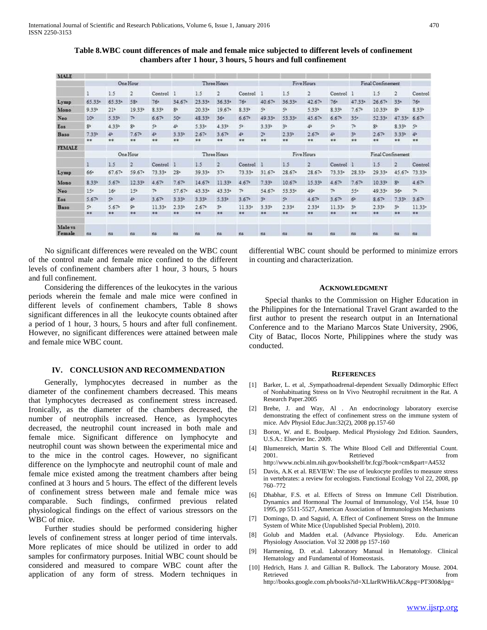**Table 8.WBC count differences of male and female mice subjected to different levels of confinement chambers after 1 hour, 3 hours, 5 hours and full confinement**

| <b>MALE</b>                  |                   |                   |                   |                   |                   |                   |                   |                    |                   |                   |                                       |                   |                 |                   |                   |                         |
|------------------------------|-------------------|-------------------|-------------------|-------------------|-------------------|-------------------|-------------------|--------------------|-------------------|-------------------|---------------------------------------|-------------------|-----------------|-------------------|-------------------|-------------------------|
|                              |                   |                   | One Hour          |                   |                   | Three Hours       |                   |                    |                   |                   | Five Hours                            | Final Confinement |                 |                   |                   |                         |
|                              |                   | 1.5               | $\overline{2}$    | Control           |                   | 1.5               | $\overline{2}$    | Control            |                   | 1.5               | $\overline{2}$                        | Control           | л               | 1.5               | $\mathbf{2}$      | Control                 |
| Lymp                         | $65.33*$          | 65.334            | 58-               | $76 -$            | 34.67             | 23.33             | 36.334            | $76 -$             | 40.67             | 36.33ª            | $42.67$ <sup><math>\circ</math></sup> | $76 -$            | 47.33           | 26.67             | $33 -$            | $76 -$                  |
| Mono                         | $9.33*$           | 214               | 19.33*            | 8.33              | 8 <sup>h</sup>    | $20.33*$          | 19.67*            | $8.33*$            | 5 <sup>5</sup>    | 55                | 5.33                                  | 8.33 <sup>b</sup> | $7.67*$         | 10.33*            | $8 =$             | $8.33*$                 |
| Neo                          | 10 <sup>h</sup>   | 5.33              | 7 <sub>z</sub>    | 6.67 <sup>b</sup> | 50 <sup>o</sup>   | 48.33             | $36 -$            | 6.67 <sup>k</sup>  | 49.33*            | 53.33             | 45.67*                                | 6.67 <sup>b</sup> | 35 <sub>e</sub> | 52.33             | 47.33             | 6.67 <sup>h</sup>       |
| Eos.                         | 8 <sup>1</sup>    | $4.33*$           | $R^{\frac{1}{2}}$ | 5 <sup>b</sup>    | 4 <sup>5</sup>    | 5.33              | 4.33 <sup>b</sup> | 54                 | $3.33*$           | 3 <sup>h</sup>    | 4 <sup>b</sup>                        | 5 <sup>b</sup>    | 7 <sup>b</sup>  | 8 <sup>h</sup>    | $8.33*$           | 5 <sup>b</sup>          |
| Baso                         | $7.33*$           | $4^{\frac{1}{2}}$ | 7.67 <sup>b</sup> | 4 <sup>5</sup>    | 3.33%             | 2.67              | 3.67 <sup>b</sup> | 45                 | 2 <sup>5</sup>    | 2.33 <sup>b</sup> | $2.67*$                               | 4 <sup>5</sup>    | 35              | 2.67 <sup>b</sup> | 3.33 <sup>b</sup> | 4 <sup>b</sup>          |
|                              | **                | $**$              | 23                | $$*$              | **                | **                | 22                | \$\$               | **                | 88                | 88                                    | 22                | $\pm\pm$        | 22                | **                | 88                      |
| <b>FEMALE</b>                |                   |                   |                   |                   |                   |                   |                   |                    |                   |                   |                                       |                   |                 |                   |                   |                         |
|                              | One Hour          |                   |                   | Three Hours       |                   |                   |                   |                    |                   | Five Hours        | Final Confinement                     |                   |                 |                   |                   |                         |
|                              | ı                 | 1.5               | $\overline{2}$    | Control           | XЭ                | 1.5               | 边                 | Control            | а                 | 1.5               | $\overline{2}$                        | Control           | я               | 1.5               | $\overline{2}$    | Control                 |
| Lymp                         | 66=               | 67.67             | 59.67             | 73.33*            | $28 -$            | 39.33=            | $37 -$            | 73.33*             | 31.67             | 28.67             | 28.67                                 | 73.33*            | 28.33=          | 29.33*            | 45.67             | 73.33                   |
| Mono                         | $8.33*$           | 5.67              | 12.33%            | 4.67              | 7.67 <sup>b</sup> | 14.67             | $11.33*$          | $4.67*$            | $7.33*$           | 10.67             | 15.33%                                | 4.67 <sup>b</sup> | $7.67*$         | $10.33*$          | $8 =$             | 4.67                    |
| Neo                          | 15 <sup>z</sup>   | 16 <sup>z</sup>   | 15 <sup>b</sup>   | 7 <sup>b</sup>    | 57.67             | 43.33=            | 43.33*            | 71                 | 54.67             | 53.33             | 49 <sub>c</sub>                       | 75                | 55=             | 49.33             | $36 -$            | 7 <sup>b</sup>          |
| Eos                          | 5.67 <sup>b</sup> | 5 <sup>5</sup>    | 46                | 3.67 <sup>b</sup> | 3.33 <sup>b</sup> | 3.33b             | 5.33              | 3.67 <sup>b</sup>  | 3 <sup>5</sup>    | 5 <sup>b</sup>    | 4.67 <sup>b</sup>                     | 3.67 <sup>b</sup> | 6 <sup>5</sup>  | 8.67 <sup>b</sup> | 7.33 <sup>b</sup> | 3.67 <sup>b</sup>       |
| Baso                         | 55                | 5.67 <sup>5</sup> | $q_e$             | 11.33             | 2.33 <sup>b</sup> | 2.67 <sup>h</sup> | 35                | 11.33 <sup>e</sup> | 3.33 <sup>k</sup> | 2.334             | 2.334                                 | 11.33             | 35              | $2.33*$           | 3 <sup>b</sup>    | 11.33c                  |
|                              | 22                | 22                | **                | **                | 23                | 88                | **                | 22                 | **                | $\pm\pm$          | 88                                    | 88                | **              | **                | **                | $\overline{\mathbf{x}}$ |
| Male <sub>vs</sub><br>Female | ns                | ns                | n <sub>3</sub>    | ns.               | $\overline{1}3$   | ns                | ns                | ns                 | ms:               | 138               | ns                                    | f18               | ns              | ns                | ns                | 138                     |

 No significant differences were revealed on the WBC count of the control male and female mice confined to the different levels of confinement chambers after 1 hour, 3 hours, 5 hours and full confinement.

 Considering the differences of the leukocytes in the various periods wherein the female and male mice were confined in different levels of confinement chambers, Table 8 shows significant differences in all the leukocyte counts obtained after a period of 1 hour, 3 hours, 5 hours and after full confinement. However, no significant differences were attained between male and female mice WBC count.

## **IV. CONCLUSION AND RECOMMENDATION**

 Generally, lymphocytes decreased in number as the diameter of the confinement chambers decreased. This means that lymphocytes decreased as confinement stress increased. Ironically, as the diameter of the chambers decreased, the number of neutrophils increased. Hence, as lymphocytes decreased, the neutrophil count increased in both male and female mice. Significant difference on lymphocyte and neutrophil count was shown between the experimental mice and to the mice in the control cages. However, no significant difference on the lymphocyte and neutrophil count of male and female mice existed among the treatment chambers after being confined at 3 hours and 5 hours. The effect of the different levels of confinement stress between male and female mice was comparable. Such findings, confirmed previous related physiological findings on the effect of various stressors on the WBC of mice.

 Further studies should be performed considering higher levels of confinement stress at longer period of time intervals. More replicates of mice should be utilized in order to add samples for confirmatory purposes. Initial WBC count should be considered and measured to compare WBC count after the application of any form of stress. Modern techniques in differential WBC count should be performed to minimize errors in counting and characterization.

### **ACKNOWLEDGMENT**

 Special thanks to the Commission on Higher Education in the Philippines for the International Travel Grant awarded to the first author to present the research output in an International Conference and to the Mariano Marcos State University, 2906, City of Batac, Ilocos Norte, Philippines where the study was conducted.

#### **REFERENCES**

- [1] Barker, L. et al, .Sympathoadrenal-dependent Sexually Ddimorphic Effect of Nonhabituating Stress on In Vivo Neutrophil recruitment in the Rat. A Research Paper.2005
- [2] Brehe, J. and Way, Al . An endocrinology laboratory exercise demonstrating the effect of confinement stress on the immune system of mice. Adv Physiol Educ.Jun:32(2), 2008 pp.157-60
- [3] Boron, W. and E. Boulpaep. Medical Physiology 2nd Edition. Saunders, U.S.A.: Elsevier Inc. 2009.
- [4] Blumenreich, Martin S. The White Blood Cell and Differential Count. 2001. Retrieved from http://www.ncbi.nlm.nih.gov/bookshelf/br.fcgi?book=cm&part=A4532
- [5] Davis, A.K et al. REVIEW: The use of leukocyte profiles to measure stress in vertebrates: a review for ecologists. Functional Ecology Vol 22, 2008, pp 760–772
- [6] Dhabhar, F.S. et al. Effects of Stress on Immune Cell Distribution. Dynamics and Hormonal The Journal of Immunology, Vol 154, Issue 10 1995, pp 5511-5527, American Association of Immunologists Mechanisms
- [7] Domingo, D. and Saguid, A. Effect of Confinement Stress on the Immune System of White Mice (Unpublished Special Problem), 2010.
- [8] Golub and Madden et.al. (Advance Physiology. Edu. American Physiology Association. Vol 32 2008 pp 157-160
- [9] Harmening, D. et.al. Laboratory Manual in Hematology. Clinical Hematology and Fundamental of Homeostasis.
- [10] Hedrich, Hans J. and Gillian R. Bullock. The Laboratory Mouse. 2004. Retrieved from  $\blacksquare$ http://books.google.com.ph/books?id=XLIarRWHikAC&pg=PT300&lpg=